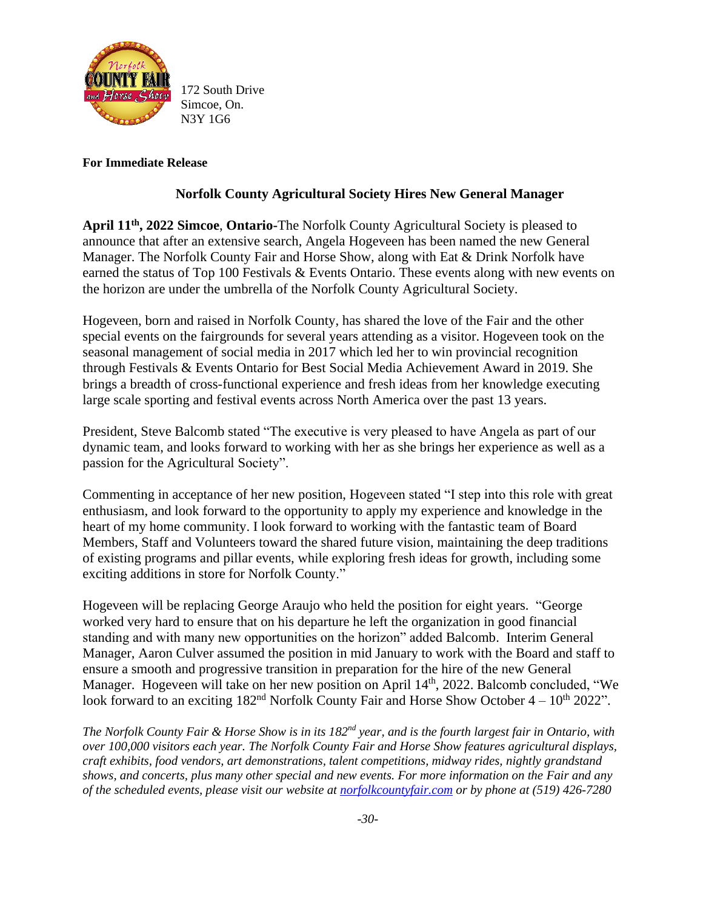

172 South Drive Simcoe, On. N3Y 1G6

## **For Immediate Release**

## **Norfolk County Agricultural Society Hires New General Manager**

**April 11th , 2022 Simcoe**, **Ontario-**The Norfolk County Agricultural Society is pleased to announce that after an extensive search, Angela Hogeveen has been named the new General Manager. The Norfolk County Fair and Horse Show, along with Eat & Drink Norfolk have earned the status of Top 100 Festivals & Events Ontario. These events along with new events on the horizon are under the umbrella of the Norfolk County Agricultural Society.

Hogeveen, born and raised in Norfolk County, has shared the love of the Fair and the other special events on the fairgrounds for several years attending as a visitor. Hogeveen took on the seasonal management of social media in 2017 which led her to win provincial recognition through Festivals & Events Ontario for Best Social Media Achievement Award in 2019. She brings a breadth of cross-functional experience and fresh ideas from her knowledge executing large scale sporting and festival events across North America over the past 13 years.

President, Steve Balcomb stated "The executive is very pleased to have Angela as part of our dynamic team, and looks forward to working with her as she brings her experience as well as a passion for the Agricultural Society".

Commenting in acceptance of her new position, Hogeveen stated "I step into this role with great enthusiasm, and look forward to the opportunity to apply my experience and knowledge in the heart of my home community. I look forward to working with the fantastic team of Board Members, Staff and Volunteers toward the shared future vision, maintaining the deep traditions of existing programs and pillar events, while exploring fresh ideas for growth, including some exciting additions in store for Norfolk County."

Hogeveen will be replacing George Araujo who held the position for eight years. "George worked very hard to ensure that on his departure he left the organization in good financial standing and with many new opportunities on the horizon" added Balcomb. Interim General Manager, Aaron Culver assumed the position in mid January to work with the Board and staff to ensure a smooth and progressive transition in preparation for the hire of the new General Manager. Hogeveen will take on her new position on April 14<sup>th</sup>, 2022. Balcomb concluded, "We look forward to an exciting  $182<sup>nd</sup>$  Norfolk County Fair and Horse Show October  $4-10<sup>th</sup>$  2022".

*The Norfolk County Fair & Horse Show is in its 182nd year, and is the fourth largest fair in Ontario, with over 100,000 visitors each year. The Norfolk County Fair and Horse Show features agricultural displays, craft exhibits, food vendors, art demonstrations, talent competitions, midway rides, nightly grandstand shows, and concerts, plus many other special and new events. For more information on the Fair and any of the scheduled events, please visit our website at [norfolkcountyfair.com](http://www.norfolkcountyfair.com/) or by phone at (519) 426-7280*